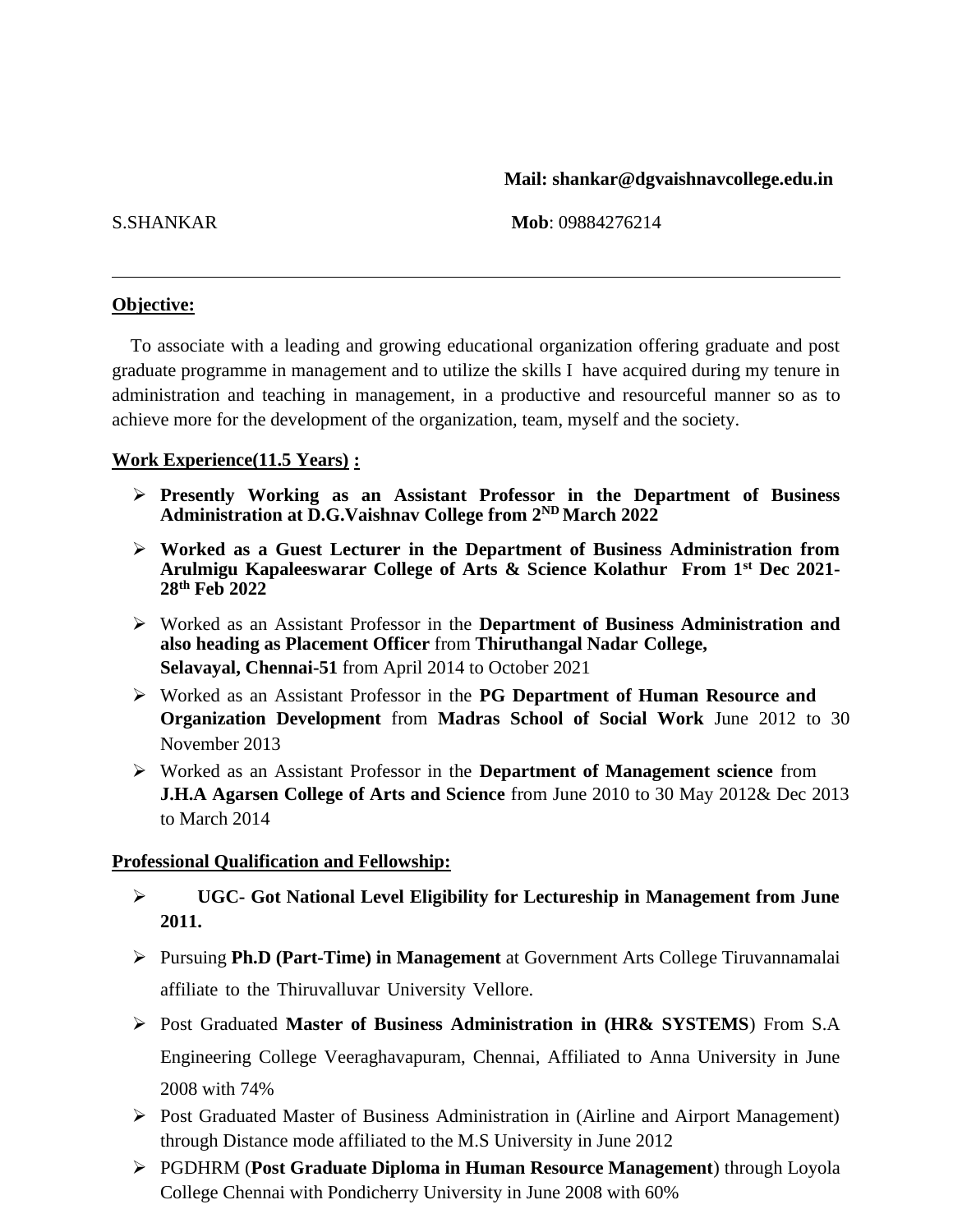### **Mail: shankar@dgvaishnavcollege.edu.in**

S.SHANKAR **Mob**: 09884276214

### **Objective:**

To associate with a leading and growing educational organization offering graduate and post graduate programme in management and to utilize the skills I have acquired during my tenure in administration and teaching in management, in a productive and resourceful manner so as to achieve more for the development of the organization, team, myself and the society.

## **Work Experience(11.5 Years) :**

- ➢ **Presently Working as an Assistant Professor in the Department of Business Administration at D.G.Vaishnav College from 2ND March 2022**
- ➢ **Worked as a Guest Lecturer in the Department of Business Administration from Arulmigu Kapaleeswarar College of Arts & Science Kolathur From 1st Dec 2021- 28th Feb 2022**
- ➢ Worked as an Assistant Professor in the **Department of Business Administration and also heading as Placement Officer** from **Thiruthangal Nadar College, Selavayal, Chennai-51** from April 2014 to October 2021
- ➢ Worked as an Assistant Professor in the **PG Department of Human Resource and Organization Development** from **Madras School of Social Work** June 2012 to 30 November 2013
- ➢ Worked as an Assistant Professor in the **Department of Management science** from **J.H.A Agarsen College of Arts and Science** from June 2010 to 30 May 2012& Dec 2013 to March 2014

### **Professional Qualification and Fellowship:**

- ➢ **UGC- Got National Level Eligibility for Lectureship in Management from June 2011.**
- ➢ Pursuing **Ph.D (Part-Time) in Management** at Government Arts College Tiruvannamalai affiliate to the Thiruvalluvar University Vellore.
- ➢ Post Graduated **Master of Business Administration in (HR& SYSTEMS**) From S.A Engineering College Veeraghavapuram, Chennai, Affiliated to Anna University in June 2008 with 74%
- ➢ Post Graduated Master of Business Administration in (Airline and Airport Management) through Distance mode affiliated to the M.S University in June 2012
- ➢ PGDHRM (**Post Graduate Diploma in Human Resource Management**) through Loyola College Chennai with Pondicherry University in June 2008 with 60%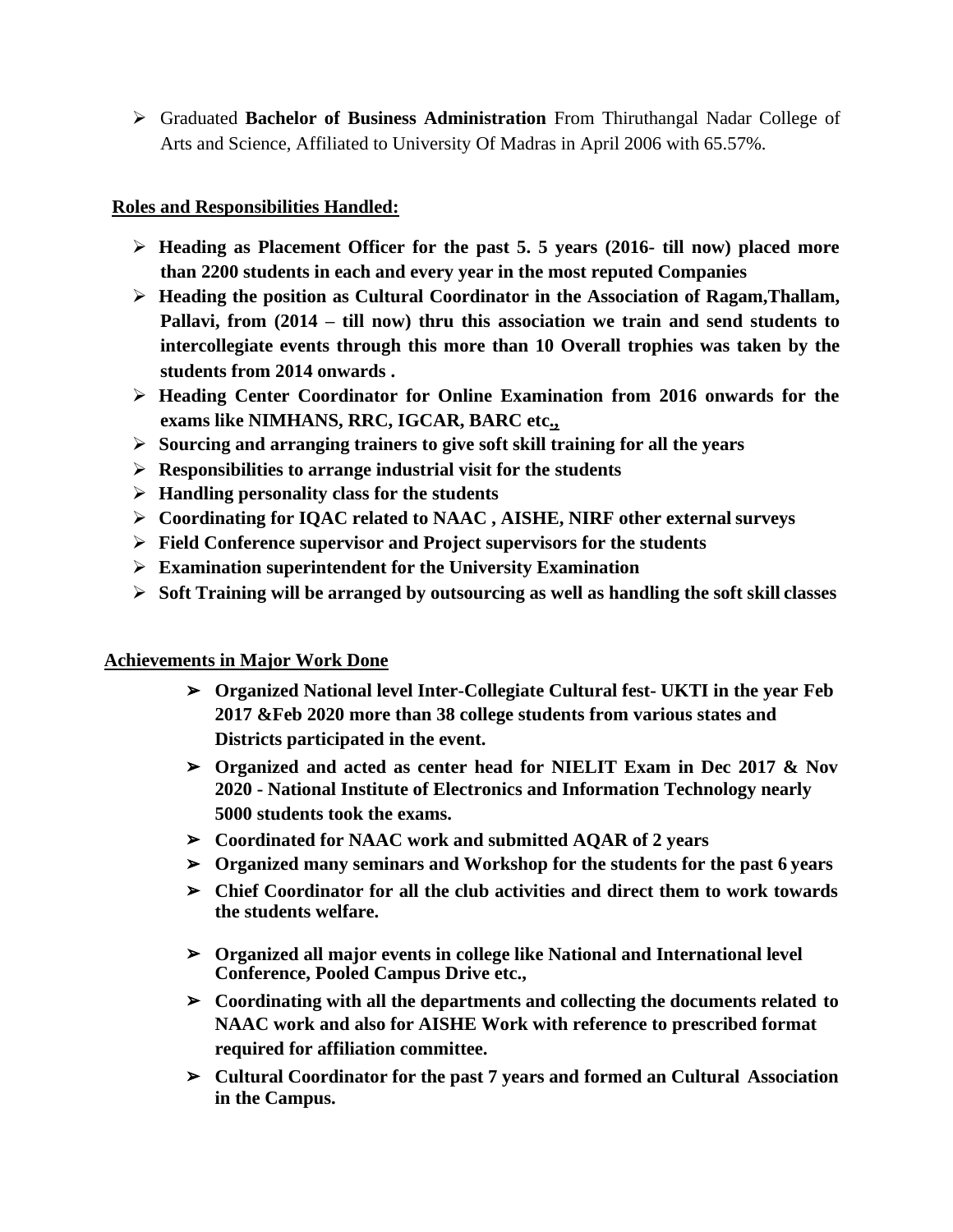➢ Graduated **Bachelor of Business Administration** From Thiruthangal Nadar College of Arts and Science, Affiliated to University Of Madras in April 2006 with 65.57%.

## **Roles and Responsibilities Handled:**

- ➢ **Heading as Placement Officer for the past 5. 5 years (2016- till now) placed more than 2200 students in each and every year in the most reputed Companies**
- ➢ **Heading the position as Cultural Coordinator in the Association of Ragam,Thallam, Pallavi, from (2014 – till now) thru this association we train and send students to intercollegiate events through this more than 10 Overall trophies was taken by the students from 2014 onwards .**
- ➢ **Heading Center Coordinator for Online Examination from 2016 onwards for the exams like NIMHANS, RRC, IGCAR, BARC etc.,**
- ➢ **Sourcing and arranging trainers to give soft skill training for all the years**
- ➢ **Responsibilities to arrange industrial visit for the students**
- ➢ **Handling personality class for the students**
- ➢ **Coordinating for IQAC related to NAAC , AISHE, NIRF other external surveys**
- ➢ **Field Conference supervisor and Project supervisors for the students**
- ➢ **Examination superintendent for the University Examination**
- ➢ **Soft Training will be arranged by outsourcing as well as handling the soft skill classes**

# **Achievements in Major Work Done**

- ➢ **Organized National level Inter-Collegiate Cultural fest- UKTI in the year Feb 2017 &Feb 2020 more than 38 college students from various states and Districts participated in the event.**
- ➢ **Organized and acted as center head for NIELIT Exam in Dec 2017 & Nov 2020 - National Institute of Electronics and Information Technology nearly 5000 students took the exams.**
- ➢ **Coordinated for NAAC work and submitted AQAR of 2 years**
- ➢ **Organized many seminars and Workshop for the students for the past 6 years**
- ➢ **Chief Coordinator for all the club activities and direct them to work towards the students welfare.**
- ➢ **Organized all major events in college like National and International level Conference, Pooled Campus Drive etc.,**
- ➢ **Coordinating with all the departments and collecting the documents related to NAAC work and also for AISHE Work with reference to prescribed format required for affiliation committee.**
- ➢ **Cultural Coordinator for the past 7 years and formed an Cultural Association in the Campus.**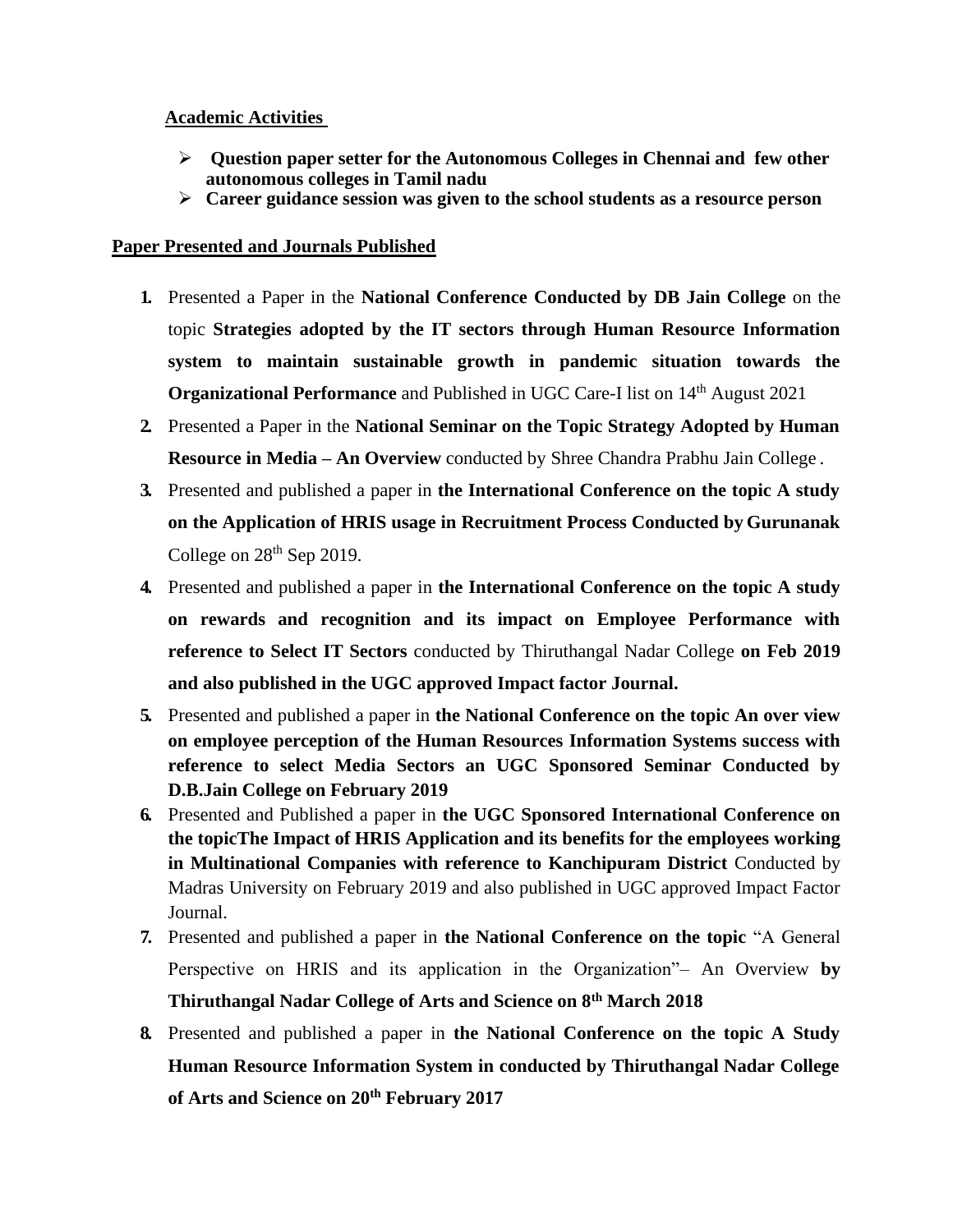## **Academic Activities**

- ➢ **Question paper setter for the Autonomous Colleges in Chennai and few other autonomous colleges in Tamil nadu**
- ➢ **Career guidance session was given to the school students as a resource person**

## **Paper Presented and Journals Published**

- **1.** Presented a Paper in the **National Conference Conducted by DB Jain College** on the topic **Strategies adopted by the IT sectors through Human Resource Information system to maintain sustainable growth in pandemic situation towards the Organizational Performance** and Published in UGC Care-I list on 14<sup>th</sup> August 2021
- **2.** Presented a Paper in the **National Seminar on the Topic Strategy Adopted by Human Resource in Media – An Overview** conducted by Shree Chandra Prabhu Jain College .
- **3.** Presented and published a paper in **the International Conference on the topic A study on the Application of HRIS usage in Recruitment Process Conducted by Gurunanak**  College on  $28<sup>th</sup>$  Sep 2019.
- **4.** Presented and published a paper in **the International Conference on the topic A study on rewards and recognition and its impact on Employee Performance with reference to Select IT Sectors** conducted by Thiruthangal Nadar College **on Feb 2019 and also published in the UGC approved Impact factor Journal.**
- **5.** Presented and published a paper in **the National Conference on the topic An over view on employee perception of the Human Resources Information Systems success with reference to select Media Sectors an UGC Sponsored Seminar Conducted by D.B.Jain College on February 2019**
- **6.** Presented and Published a paper in **the UGC Sponsored International Conference on the topicThe Impact of HRIS Application and its benefits for the employees working in Multinational Companies with reference to Kanchipuram District** Conducted by Madras University on February 2019 and also published in UGC approved Impact Factor Journal.
- **7.** Presented and published a paper in **the National Conference on the topic** "A General Perspective on HRIS and its application in the Organization"– An Overview **by Thiruthangal Nadar College of Arts and Science on 8th March 2018**
- **8.** Presented and published a paper in **the National Conference on the topic A Study Human Resource Information System in conducted by Thiruthangal Nadar College of Arts and Science on 20th February 2017**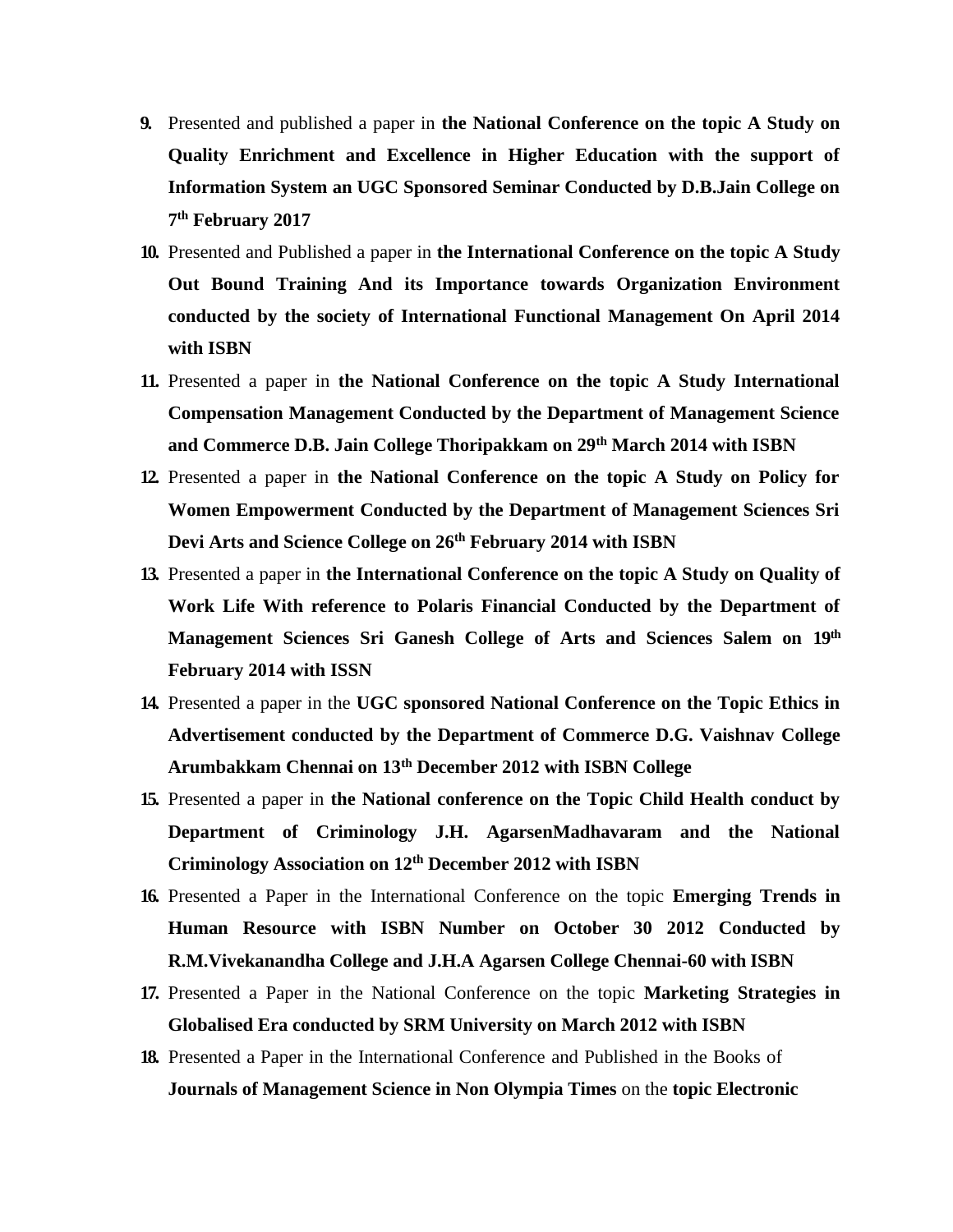- **9.** Presented and published a paper in **the National Conference on the topic A Study on Quality Enrichment and Excellence in Higher Education with the support of Information System an UGC Sponsored Seminar Conducted by D.B.Jain College on 7 th February 2017**
- **10.** Presented and Published a paper in **the International Conference on the topic A Study Out Bound Training And its Importance towards Organization Environment conducted by the society of International Functional Management On April 2014 with ISBN**
- **11.** Presented a paper in **the National Conference on the topic A Study International Compensation Management Conducted by the Department of Management Science and Commerce D.B. Jain College Thoripakkam on 29th March 2014 with ISBN**
- **12.** Presented a paper in **the National Conference on the topic A Study on Policy for Women Empowerment Conducted by the Department of Management Sciences Sri Devi Arts and Science College on 26th February 2014 with ISBN**
- **13.** Presented a paper in **the International Conference on the topic A Study on Quality of Work Life With reference to Polaris Financial Conducted by the Department of Management Sciences Sri Ganesh College of Arts and Sciences Salem on 19th February 2014 with ISSN**
- **14.** Presented a paper in the **UGC sponsored National Conference on the Topic Ethics in Advertisement conducted by the Department of Commerce D.G. Vaishnav College Arumbakkam Chennai on 13th December 2012 with ISBN College**
- **15.** Presented a paper in **the National conference on the Topic Child Health conduct by Department of Criminology J.H. AgarsenMadhavaram and the National Criminology Association on 12th December 2012 with ISBN**
- **16.** Presented a Paper in the International Conference on the topic **Emerging Trends in Human Resource with ISBN Number on October 30 2012 Conducted by R.M.Vivekanandha College and J.H.A Agarsen College Chennai-60 with ISBN**
- **17.** Presented a Paper in the National Conference on the topic **Marketing Strategies in Globalised Era conducted by SRM University on March 2012 with ISBN**
- **18.** Presented a Paper in the International Conference and Published in the Books of **Journals of Management Science in Non Olympia Times** on the **topic Electronic**